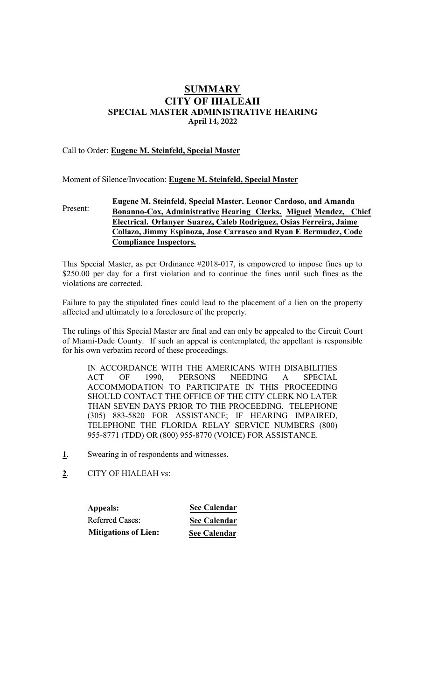# SUMMARY CITY OF HIALEAH SPECIAL MASTER ADMINISTRATIVE HEARING **April 14, 2022**

## Call to Order: Eugene M. Steinfeld, Special Master

Moment of Silence/Invocation: Eugene M. Steinfeld, Special Master

#### Present: Eugene M. Steinfeld, Special Master. Leonor **Cardoso**, **and Amanda Bonanno-Cox,** Administrative Hearing Clerk**s**. Miguel Mendez, Chief Electrical. Orlanyer Suarez, **Caleb Rodriguez, Osias Ferreira, Jaime Collazo, Jimmy Espinoza, Jose Carrasco and Ryan E Bermudez, Code Compliance Inspectors.**

This Special Master, as per Ordinance #2018-017, is empowered to impose fines up to \$250.00 per day for a first violation and to continue the fines until such fines as the violations are corrected.

Failure to pay the stipulated fines could lead to the placement of a lien on the property affected and ultimately to a foreclosure of the property.

The rulings of this Special Master are final and can only be appealed to the Circuit Court of Miami-Dade County. If such an appeal is contemplated, the appellant is responsible for his own verbatim record of these proceedings.

IN ACCORDANCE WITH THE AMERICANS WITH DISABILITIES ACT OF 1990, PERSONS NEEDING A SPECIAL ACCOMMODATION TO PARTICIPATE IN THIS PROCEEDING SHOULD CONTACT THE OFFICE OF THE CITY CLERK NO LATER THAN SEVEN DAYS PRIOR TO THE PROCEEDING. TELEPHONE (305) 883-5820 FOR ASSISTANCE; IF HEARING IMPAIRED, TELEPHONE THE FLORIDA RELAY SERVICE NUMBERS (800) 955-8771 (TDD) OR (800) 955-8770 (VOICE) FOR ASSISTANCE.

- 1. Swearing in of respondents and witnesses.
- 2. CITY OF HIALEAH vs:

**Appeals:** Referred Cases: **Mitigations of Lien:**

**See Calendar See Calendar See Calendar**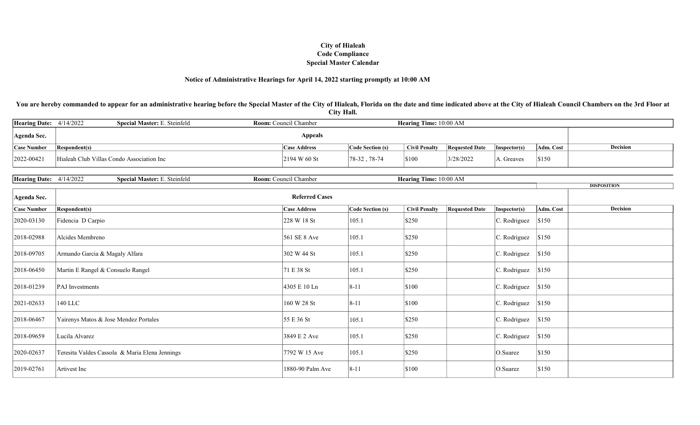#### Notice of Administrative Hearings for April 14, 2022 starting promptly at 10:00 AM

You are hereby commanded to appear for an administrative hearing before the Special Master of the City of Hialeah, Florida on the date and time indicated above at the City of Hialeah Council Chambers on the 3rd Floor at City Hall.

| Hearing Date: $4/14/2022$ | <b>Special Master: E. Steinfeld</b><br><b>Room:</b> Council Chamber |  |  |                     |                  | <b>Hearing Time:</b> 10:00 AM |                       |                      |           |          |
|---------------------------|---------------------------------------------------------------------|--|--|---------------------|------------------|-------------------------------|-----------------------|----------------------|-----------|----------|
| Agenda Sec.               |                                                                     |  |  | <b>Appeals</b>      |                  |                               |                       |                      |           |          |
| <b>Case Number</b>        | Respondent(s)                                                       |  |  | <b>Case Address</b> | Code Section (s) | <b>Civil Penalty</b>          | <b>Requested Date</b> | $\vert$ Inspector(s) | Adm. Cost | Decision |
| 2022-00421                | Hialeah Club Villas Condo Association Inc                           |  |  | 2194 W 60 St        | $ 78-32, 78-74$  | \$100                         | 3/28/2022             | A. Greaves           | \$150     |          |

| <b>Hearing Date:</b><br><b>Special Master: E. Steinfeld</b><br>$10:00~\mathrm{AM}$<br>4/14/2022<br>Time:<br><b>Hearing</b><br>Koom:<br>hamber<br>ouncil |
|---------------------------------------------------------------------------------------------------------------------------------------------------------|
|---------------------------------------------------------------------------------------------------------------------------------------------------------|

|                    |                                                |                     |                  |                                               |              | <b>DISPOSITION</b>           |
|--------------------|------------------------------------------------|---------------------|------------------|-----------------------------------------------|--------------|------------------------------|
| <b>Agenda Sec.</b> |                                                |                     |                  |                                               |              |                              |
| <b>Case Number</b> | <b>Respondent(s)</b>                           | <b>Case Address</b> | Code Section (s) | <b>Requested Date</b><br><b>Civil Penalty</b> | Inspector(s) | <b>Decision</b><br>Adm. Cost |
| 2020-03130         | Fidencia D Carpio                              | 228 W 18 St         | 105.1            | \$250                                         | C. Rodriguez | \$150                        |
| 2018-02988         | Alcides Membreno                               | 561 SE 8 Ave        | 105.1            | \$250                                         | C. Rodriguez | \$150                        |
| 2018-09705         | Armando Garcia & Magaly Alfara                 | 302 W 44 St         | 105.1            | \$250                                         | C. Rodriguez | \$150                        |
| 2018-06450         | Martin E Rangel & Consuelo Rangel              | 71 E 38 St          | 105.1            | \$250                                         | C. Rodriguez | \$150                        |
| 2018-01239         | PAJ Investments                                | 4305 E 10 Ln        | $8 - 11$         | \$100                                         | C. Rodriguez | \$150                        |
| 2021-02633         | 140 LLC                                        | 160 W 28 St         | $8 - 11$         | \$100                                         | C. Rodriguez | \$150                        |
| 2018-06467         | Yairenys Matos & Jose Mendez Portales          | 55 E 36 St          | 105.1            | \$250                                         | C. Rodriguez | \$150                        |
| 2018-09659         | Lucila Alvarez                                 | 3849 E 2 Ave        | 105.1            | \$250                                         | C. Rodriguez | \$150                        |
| 2020-02637         | Teresita Valdes Cassola & Maria Elena Jennings | 7792 W 15 Ave       | 105.1            | \$250                                         | O.Suarez     | \$150                        |
| 2019-02761         | Artivest Inc                                   | 1880-90 Palm Ave    | $8 - 11$         | \$100                                         | O.Suarez     | \$150                        |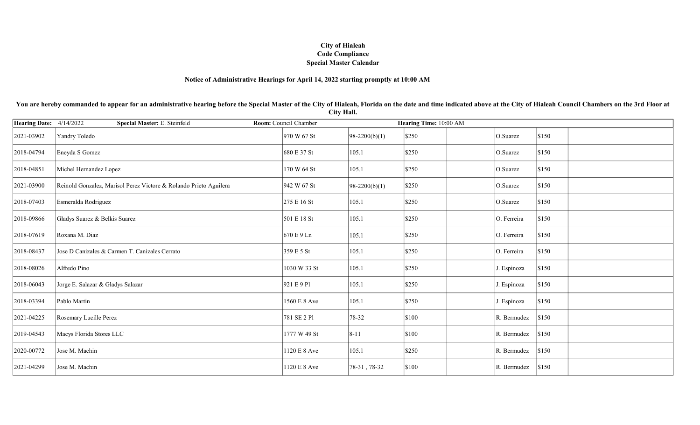## Notice of Administrative Hearings for April 14, 2022 starting promptly at 10:00 AM

You are hereby commanded to appear for an administrative hearing before the Special Master of the City of Hialeah, Florida on the date and time indicated above at the City of Hialeah Council Chambers on the 3rd Floor at City Hall.

| Hearing Date: 4/14/2022 | Special Master: E. Steinfeld                                      | Room: Council Chamber |                 | Hearing Time: 10:00 AM |             |       |
|-------------------------|-------------------------------------------------------------------|-----------------------|-----------------|------------------------|-------------|-------|
| 2021-03902              | Yandry Toledo                                                     | 970 W 67 St           | $98-2200(b)(1)$ | \$250                  | O.Suarez    | \$150 |
| 2018-04794              | Eneyda S Gomez                                                    | 680 E 37 St           | 105.1           | \$250                  | O.Suarez    | \$150 |
| 2018-04851              | Michel Hernandez Lopez                                            | 170 W 64 St           | 105.1           | \$250                  | O.Suarez    | \$150 |
| 2021-03900              | Reinold Gonzalez, Marisol Perez Victore & Rolando Prieto Aguilera | 942 W 67 St           | $98-2200(b)(1)$ | \$250                  | O.Suarez    | \$150 |
| 2018-07403              | Esmeralda Rodriguez                                               | 275 E 16 St           | 105.1           | \$250                  | O.Suarez    | \$150 |
| 2018-09866              | Gladys Suarez & Belkis Suarez                                     | 501 E 18 St           | 105.1           | \$250                  | O. Ferreira | \$150 |
| 2018-07619              | Roxana M. Diaz                                                    | 670 E 9 Ln            | 105.1           | \$250                  | O. Ferreira | \$150 |
| 2018-08437              | Jose D Canizales & Carmen T. Canizales Cerrato                    | 359 E 5 St            | 105.1           | \$250                  | O. Ferreira | \$150 |
| 2018-08026              | Alfredo Pino                                                      | 1030 W 33 St          | 105.1           | \$250                  | J. Espinoza | \$150 |
| 2018-06043              | Jorge E. Salazar & Gladys Salazar                                 | 921 E 9 P1            | 105.1           | \$250                  | J. Espinoza | \$150 |
| 2018-03394              | Pablo Martin                                                      | 1560 E 8 Ave          | 105.1           | \$250                  | J. Espinoza | \$150 |
| 2021-04225              | Rosemary Lucille Perez                                            | 781 SE 2 Pl           | 78-32           | \$100                  | R. Bermudez | \$150 |
| 2019-04543              | Macys Florida Stores LLC                                          | 1777 W 49 St          | $8 - 11$        | \$100                  | R. Bermudez | \$150 |
| 2020-00772              | Jose M. Machin                                                    | 1120 E 8 Ave          | 105.1           | \$250                  | R. Bermudez | \$150 |
| 2021-04299              | Jose M. Machin                                                    | 1120 E 8 Ave          | 78-31, 78-32    | \$100                  | R. Bermudez | \$150 |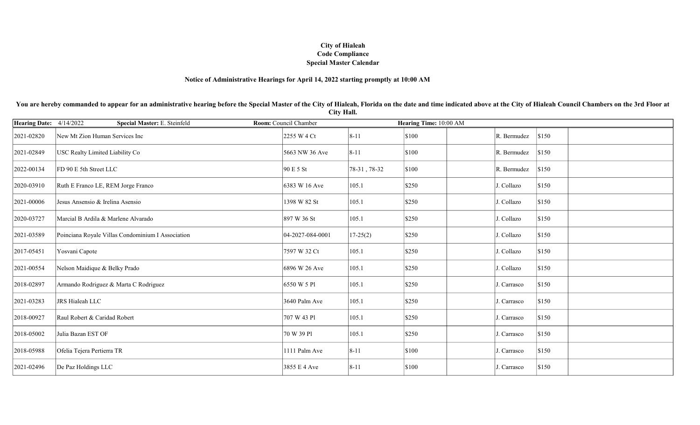## Notice of Administrative Hearings for April 14, 2022 starting promptly at 10:00 AM

You are hereby commanded to appear for an administrative hearing before the Special Master of the City of Hialeah, Florida on the date and time indicated above at the City of Hialeah Council Chambers on the 3rd Floor at City Hall.

| Hearing Date: 4/14/2022 | Special Master: E. Steinfeld                      | Room: Council Chamber |              | Hearing Time: 10:00 AM |                      |
|-------------------------|---------------------------------------------------|-----------------------|--------------|------------------------|----------------------|
| 2021-02820              | New Mt Zion Human Services Inc                    | 2255 W 4 Ct           | $8 - 11$     | \$100                  | \$150<br>R. Bermudez |
| 2021-02849              | USC Realty Limited Liability Co                   | 5663 NW 36 Ave        | $8 - 11$     | \$100                  | \$150<br>R. Bermudez |
| 2022-00134              | FD 90 E 5th Street LLC                            | 90 E 5 St             | 78-31, 78-32 | \$100                  | \$150<br>R. Bermudez |
| 2020-03910              | Ruth E Franco LE, REM Jorge Franco                | 6383 W 16 Ave         | 105.1        | \$250                  | \$150<br>J. Collazo  |
| 2021-00006              | Jesus Ansensio & Irelina Asensio                  | 1398 W 82 St          | 105.1        | \$250                  | \$150<br>J. Collazo  |
| 2020-03727              | Marcial B Ardila & Marlene Alvarado               | 897 W 36 St           | 105.1        | \$250                  | \$150<br>J. Collazo  |
| 2021-03589              | Poinciana Royale Villas Condominium I Association | 04-2027-084-0001      | $17 - 25(2)$ | \$250                  | J. Collazo<br>\$150  |
| 2017-05451              | Yosvani Capote                                    | 7597 W 32 Ct          | 105.1        | \$250                  | \$150<br>J. Collazo  |
| 2021-00554              | Nelson Maidique & Belky Prado                     | 6896 W 26 Ave         | 105.1        | \$250                  | \$150<br>J. Collazo  |
| 2018-02897              | Armando Rodriguez & Marta C Rodriguez             | 6550 W 5 Pl           | 105.1        | \$250                  | \$150<br>J. Carrasco |
| 2021-03283              | JRS Hialeah LLC                                   | 3640 Palm Ave         | 105.1        | \$250                  | \$150<br>J. Carrasco |
| 2018-00927              | Raul Robert & Caridad Robert                      | 707 W 43 Pl           | 105.1        | \$250                  | \$150<br>J. Carrasco |
| 2018-05002              | Julia Bazan EST OF                                | 70 W 39 Pl            | 105.1        | \$250                  | \$150<br>J. Carrasco |
| 2018-05988              | Ofelia Tejera Pertierra TR                        | 1111 Palm Ave         | $8 - 11$     | \$100                  | \$150<br>J. Carrasco |
| 2021-02496              | De Paz Holdings LLC                               | 3855 E 4 Ave          | $8 - 11$     | \$100                  | \$150<br>J. Carrasco |